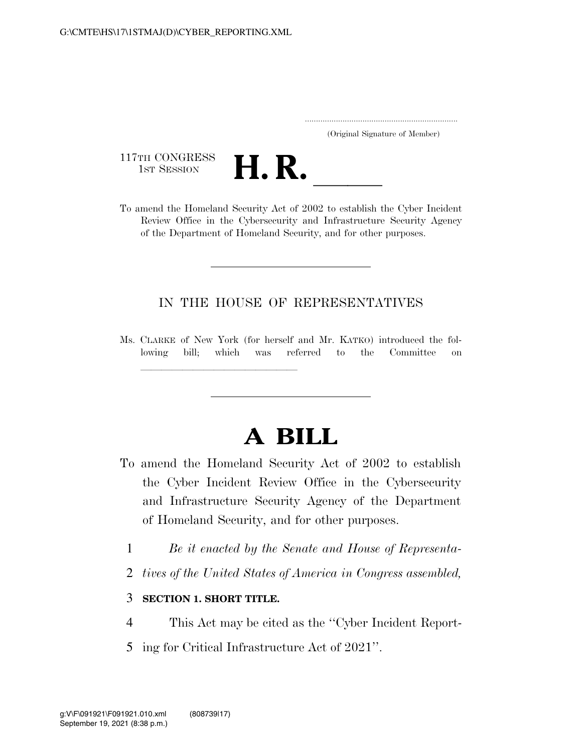|  | (Original Signature of Member) |  |
|--|--------------------------------|--|

117TH CONGRESS<br>1st Session



117TH CONGRESS<br>1st SESSION **H. R.** <u>Inclusion of 2002</u> to establish the Cyber Incident Review Office in the Cybersecurity and Infrastructure Security Agency of the Department of Homeland Security, and for other purposes.

### IN THE HOUSE OF REPRESENTATIVES

Ms. CLARKE of New York (for herself and Mr. KATKO) introduced the following bill; which was referred to the Committee on

# **A BILL**

- To amend the Homeland Security Act of 2002 to establish the Cyber Incident Review Office in the Cybersecurity and Infrastructure Security Agency of the Department of Homeland Security, and for other purposes.
	- 1 *Be it enacted by the Senate and House of Representa-*
	- 2 *tives of the United States of America in Congress assembled,*

### 3 **SECTION 1. SHORT TITLE.**

llland and a state of the state of the state of the state of the state of the state of the state of the state o<br>The state of the state of the state of the state of the state of the state of the state of the state of the st

- 4 This Act may be cited as the ''Cyber Incident Report-
- 5 ing for Critical Infrastructure Act of 2021''.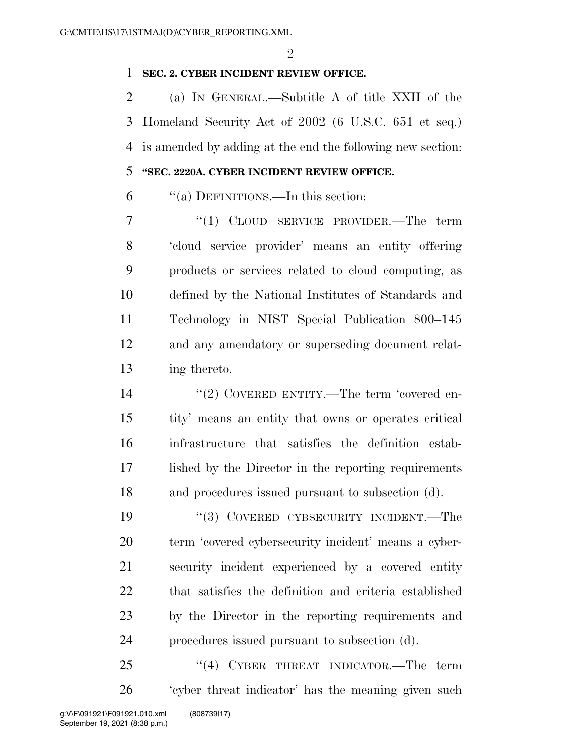$\mathfrak{D}$ 

#### **SEC. 2. CYBER INCIDENT REVIEW OFFICE.**

 (a) IN GENERAL.—Subtitle A of title XXII of the Homeland Security Act of 2002 (6 U.S.C. 651 et seq.) is amended by adding at the end the following new section:

## **''SEC. 2220A. CYBER INCIDENT REVIEW OFFICE.**

''(a) DEFINITIONS.—In this section:

7 "(1) CLOUD SERVICE PROVIDER.—The term 'cloud service provider' means an entity offering products or services related to cloud computing, as defined by the National Institutes of Standards and Technology in NIST Special Publication 800–145 and any amendatory or superseding document relat-ing thereto.

 $\frac{1}{2}$  COVERED ENTITY.—The term 'covered en- tity' means an entity that owns or operates critical infrastructure that satisfies the definition estab- lished by the Director in the reporting requirements and procedures issued pursuant to subsection (d).

 ''(3) COVERED CYBSECURITY INCIDENT.—The term 'covered cybersecurity incident' means a cyber- security incident experienced by a covered entity that satisfies the definition and criteria established by the Director in the reporting requirements and procedures issued pursuant to subsection (d).

25 "(4) CYBER THREAT INDICATOR.—The term 'cyber threat indicator' has the meaning given such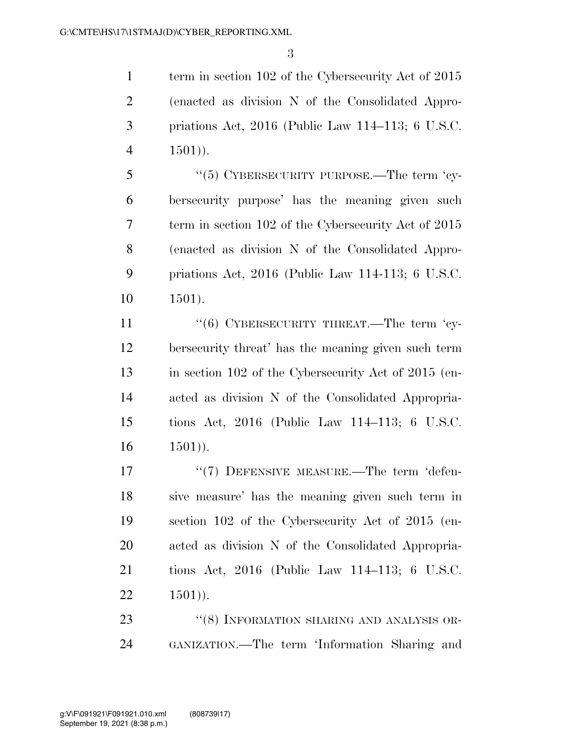1 term in section 102 of the Cybersecurity Act of 2015 (enacted as division N of the Consolidated Appro- priations Act, 2016 (Public Law 114–113; 6 U.S.C. 4 ).

5 "(5) CYBERSECURITY PURPOSE.—The term 'cy- bersecurity purpose' has the meaning given such term in section 102 of the Cybersecurity Act of 2015 (enacted as division N of the Consolidated Appro- priations Act, 2016 (Public Law 114-113; 6 U.S.C. 1501).

11 "(6) CYBERSECURITY THREAT.—The term 'cy- bersecurity threat' has the meaning given such term in section 102 of the Cybersecurity Act of 2015 (en- acted as division N of the Consolidated Appropria- tions Act, 2016 (Public Law 114–113; 6 U.S.C.  $16 \t 1501$ ).

17 <sup>''</sup>(7) DEFENSIVE MEASURE.—The term 'defen- sive measure' has the meaning given such term in section 102 of the Cybersecurity Act of 2015 (en- acted as division N of the Consolidated Appropria- tions Act, 2016 (Public Law 114–113; 6 U.S.C.  $22 \t 1501$ ).

23 "(8) INFORMATION SHARING AND ANALYSIS OR-GANIZATION.—The term 'Information Sharing and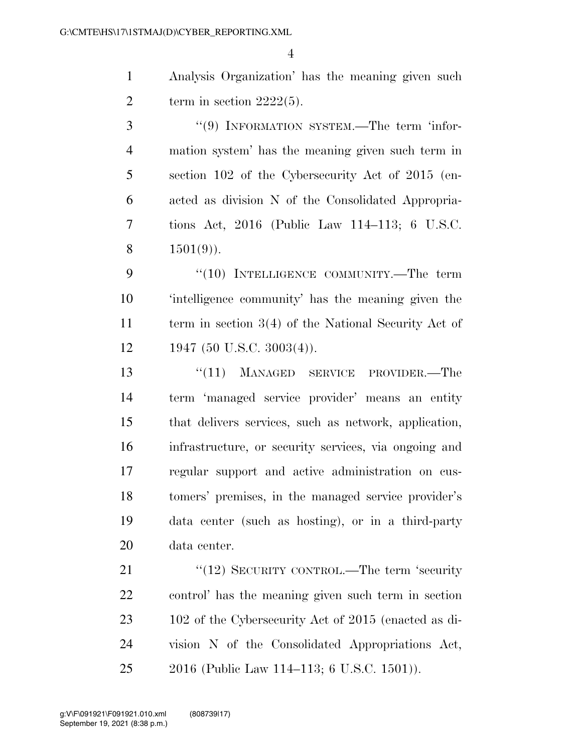1 Analysis Organization' has the meaning given such 2 term in section  $2222(5)$ .

3 "(9) INFORMATION SYSTEM.—The term 'infor- mation system' has the meaning given such term in section 102 of the Cybersecurity Act of 2015 (en- acted as division N of the Consolidated Appropria- tions Act, 2016 (Public Law 114–113; 6 U.S.C. 8  $1501(9)$ .

9 "(10) INTELLIGENCE COMMUNITY.—The term 10 'intelligence community' has the meaning given the 11 term in section 3(4) of the National Security Act of  $12 \qquad 1947 \; (50 \; \text{U.S.C.} \; 3003(4))$ .

13 ''(11) MANAGED SERVICE PROVIDER.—The term 'managed service provider' means an entity that delivers services, such as network, application, infrastructure, or security services, via ongoing and regular support and active administration on cus- tomers' premises, in the managed service provider's data center (such as hosting), or in a third-party data center.

21 "(12) SECURITY CONTROL.—The term 'security 22 control' has the meaning given such term in section 23 102 of the Cybersecurity Act of 2015 (enacted as di-24 vision N of the Consolidated Appropriations Act, 25 2016 (Public Law 114–113; 6 U.S.C. 1501)).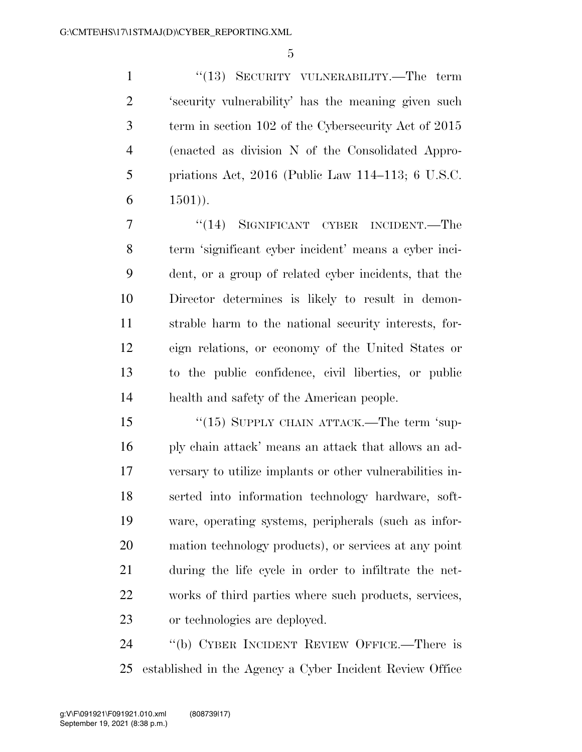1 ''(13) SECURITY VULNERABILITY.—The term 'security vulnerability' has the meaning given such term in section 102 of the Cybersecurity Act of 2015 (enacted as division N of the Consolidated Appro- priations Act, 2016 (Public Law 114–113; 6 U.S.C. 6  $1501)$ ).

7 "(14) SIGNIFICANT CYBER INCIDENT.—The term 'significant cyber incident' means a cyber inci- dent, or a group of related cyber incidents, that the Director determines is likely to result in demon- strable harm to the national security interests, for- eign relations, or economy of the United States or to the public confidence, civil liberties, or public health and safety of the American people.

15 "(15) SUPPLY CHAIN ATTACK.—The term 'sup- ply chain attack' means an attack that allows an ad- versary to utilize implants or other vulnerabilities in- serted into information technology hardware, soft- ware, operating systems, peripherals (such as infor- mation technology products), or services at any point during the life cycle in order to infiltrate the net- works of third parties where such products, services, or technologies are deployed.

 ''(b) CYBER INCIDENT REVIEW OFFICE.—There is established in the Agency a Cyber Incident Review Office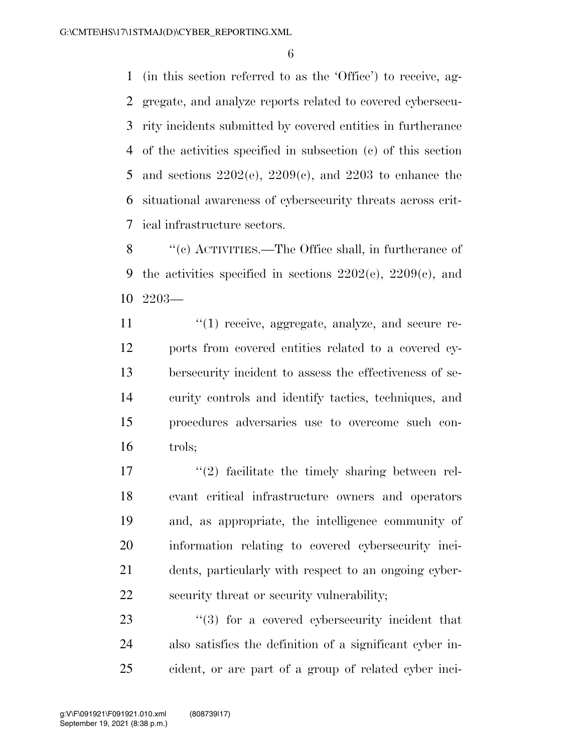(in this section referred to as the 'Office') to receive, ag- gregate, and analyze reports related to covered cybersecu- rity incidents submitted by covered entities in furtherance of the activities specified in subsection (c) of this section 5 and sections  $2202(e)$ ,  $2209(e)$ , and  $2203$  to enhance the situational awareness of cybersecurity threats across crit-ical infrastructure sectors.

 ''(c) ACTIVITIES.—The Office shall, in furtherance of 9 the activities specified in sections  $2202(e)$ ,  $2209(e)$ , and 2203—

 $\frac{1}{2}$  (1) receive, aggregate, analyze, and secure re- ports from covered entities related to a covered cy- bersecurity incident to assess the effectiveness of se- curity controls and identify tactics, techniques, and procedures adversaries use to overcome such con-trols;

 $\frac{17}{2}$  ''(2) facilitate the timely sharing between rel- evant critical infrastructure owners and operators and, as appropriate, the intelligence community of information relating to covered cybersecurity inci- dents, particularly with respect to an ongoing cyber-security threat or security vulnerability;

23 "(3) for a covered cybersecurity incident that also satisfies the definition of a significant cyber in-cident, or are part of a group of related cyber inci-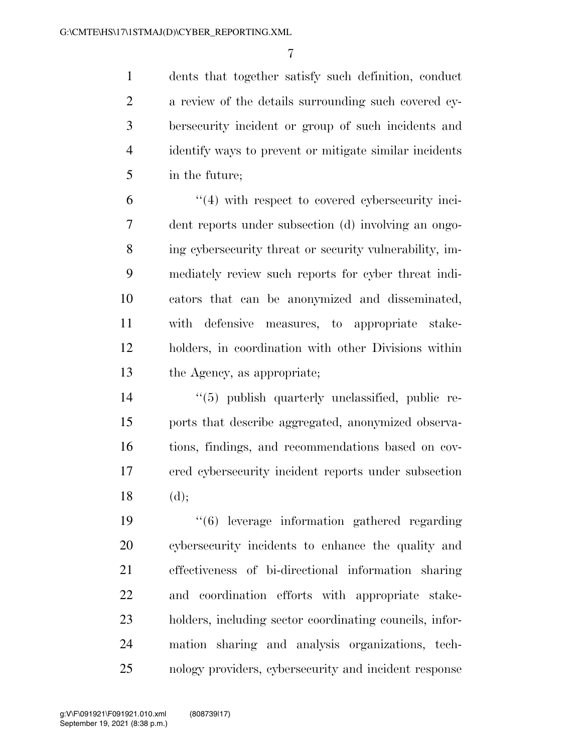dents that together satisfy such definition, conduct a review of the details surrounding such covered cy- bersecurity incident or group of such incidents and identify ways to prevent or mitigate similar incidents in the future;

 ''(4) with respect to covered cybersecurity inci- dent reports under subsection (d) involving an ongo- ing cybersecurity threat or security vulnerability, im- mediately review such reports for cyber threat indi- cators that can be anonymized and disseminated, with defensive measures, to appropriate stake- holders, in coordination with other Divisions within the Agency, as appropriate;

 ''(5) publish quarterly unclassified, public re- ports that describe aggregated, anonymized observa- tions, findings, and recommendations based on cov- ered cybersecurity incident reports under subsection (d);

 ''(6) leverage information gathered regarding cybersecurity incidents to enhance the quality and effectiveness of bi-directional information sharing and coordination efforts with appropriate stake- holders, including sector coordinating councils, infor- mation sharing and analysis organizations, tech-nology providers, cybersecurity and incident response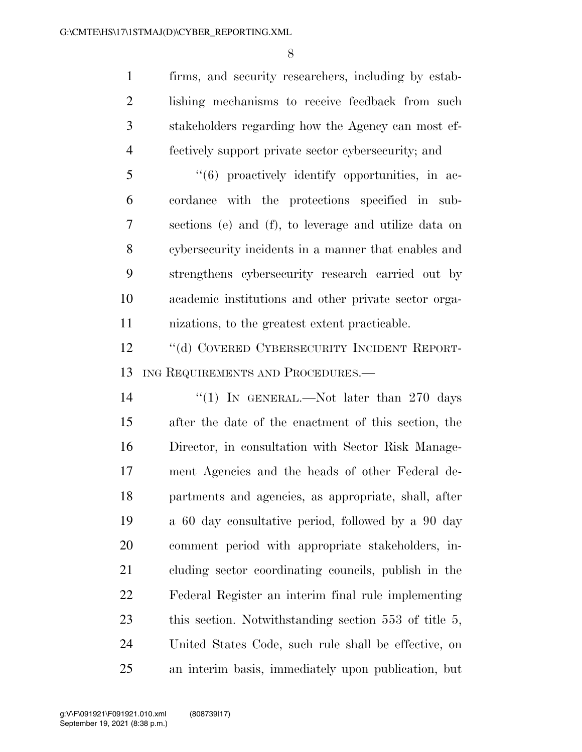firms, and security researchers, including by estab- lishing mechanisms to receive feedback from such stakeholders regarding how the Agency can most ef-fectively support private sector cybersecurity; and

 ''(6) proactively identify opportunities, in ac- cordance with the protections specified in sub- sections (e) and (f), to leverage and utilize data on cybersecurity incidents in a manner that enables and strengthens cybersecurity research carried out by academic institutions and other private sector orga-nizations, to the greatest extent practicable.

 ''(d) COVERED CYBERSECURITY INCIDENT REPORT-13 ING REQUIREMENTS AND PROCEDURES.—

14 ''(1) In GENERAL.—Not later than 270 days after the date of the enactment of this section, the Director, in consultation with Sector Risk Manage- ment Agencies and the heads of other Federal de- partments and agencies, as appropriate, shall, after a 60 day consultative period, followed by a 90 day comment period with appropriate stakeholders, in- cluding sector coordinating councils, publish in the Federal Register an interim final rule implementing 23 this section. Notwithstanding section 553 of title 5, United States Code, such rule shall be effective, on an interim basis, immediately upon publication, but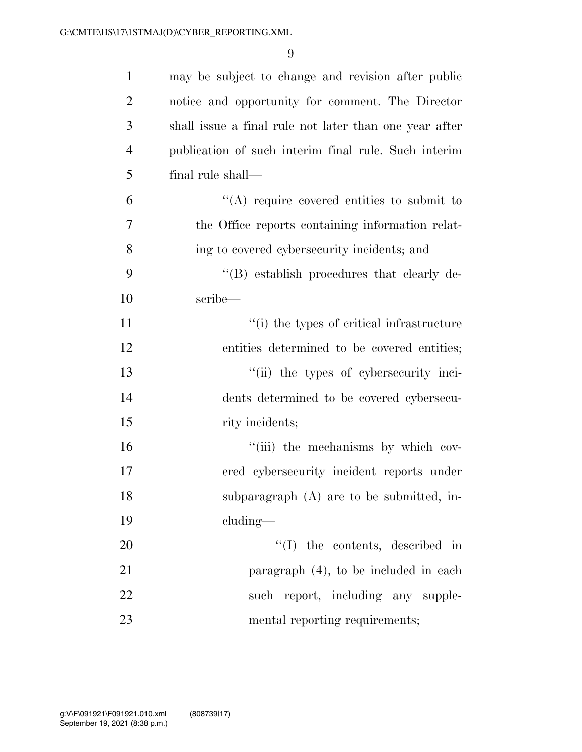| $\mathbf{1}$ | may be subject to change and revision after public     |
|--------------|--------------------------------------------------------|
| 2            | notice and opportunity for comment. The Director       |
| 3            | shall issue a final rule not later than one year after |
| 4            | publication of such interim final rule. Such interim   |
| 5            | final rule shall—                                      |
| 6            | $\lq\lq$ require covered entities to submit to         |
| 7            | the Office reports containing information relat-       |
| 8            | ing to covered cybersecurity incidents; and            |
| 9            | "(B) establish procedures that clearly de-             |
| 10           | scribe—                                                |
| 11           | "(i) the types of critical infrastructure              |
| 12           | entities determined to be covered entities;            |
| 13           | "(ii) the types of cybersecurity inci-                 |
| 14           | dents determined to be covered cybersecu-              |
| 15           | rity incidents;                                        |
| 16           | "(iii) the mechanisms by which cov-                    |
| 17           | ered cybersecurity incident reports under              |
| 18           | subparagraph $(A)$ are to be submitted, in-            |
| 19           | cluding—                                               |
| 20           | $\lq\lq$ the contents, described in                    |
| 21           | paragraph $(4)$ , to be included in each               |
| 22           | such report, including any supple-                     |
| 23           | mental reporting requirements;                         |
|              |                                                        |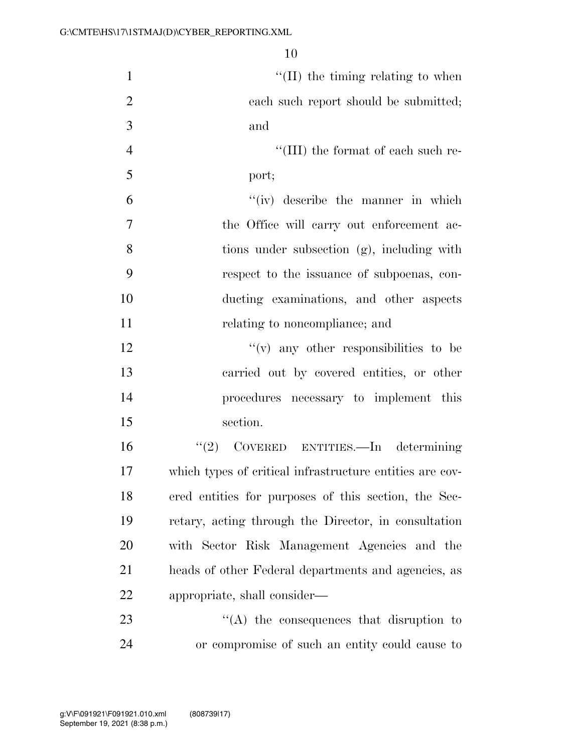| $\mathbf{1}$   | $\lq\lq$ (II) the timing relating to when                |
|----------------|----------------------------------------------------------|
| $\overline{2}$ | each such report should be submitted;                    |
| 3              | and                                                      |
| $\overline{4}$ | $\lq\lq$ (III) the format of each such re-               |
| 5              | port;                                                    |
| 6              | "(iv) describe the manner in which                       |
| $\tau$         | the Office will carry out enforcement ac-                |
| 8              | tions under subsection (g), including with               |
| 9              | respect to the issuance of subpoenas, con-               |
| 10             | ducting examinations, and other aspects                  |
| 11             | relating to noncompliance; and                           |
| 12             | $f'(v)$ any other responsibilities to be                 |
| 13             | carried out by covered entities, or other                |
| 14             | procedures necessary to implement this                   |
| 15             | section.                                                 |
| 16             | "(2) COVERED ENTITIES.—In determining                    |
| 17             | which types of critical infrastructure entities are cov- |
| 18             | ered entities for purposes of this section, the Sec-     |
| 19             | retary, acting through the Director, in consultation     |
| 20             | with Sector Risk Management Agencies and the             |
| 21             | heads of other Federal departments and agencies, as      |
| 22             | appropriate, shall consider—                             |
| 23             | $\lq\lq$ the consequences that disruption to             |
| 24             | or compromise of such an entity could cause to           |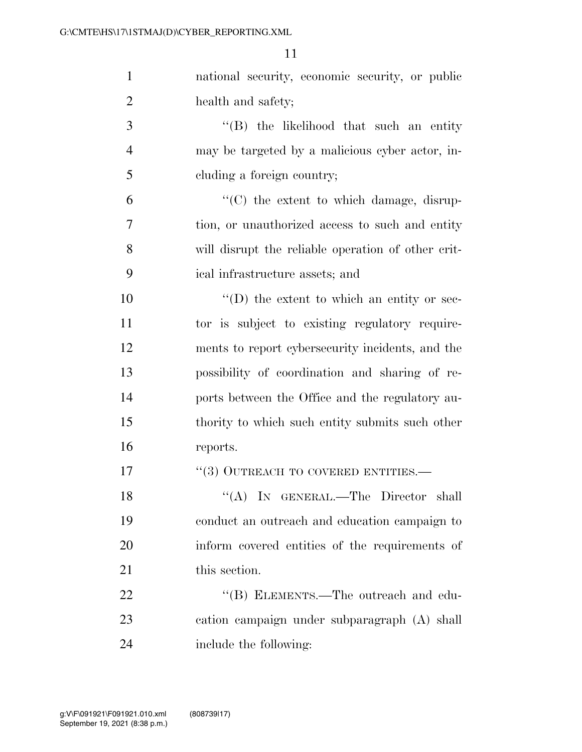| $\mathbf{1}$   | national security, economic security, or public    |
|----------------|----------------------------------------------------|
| $\overline{2}$ | health and safety;                                 |
| 3              | $\lq\lq$ the likelihood that such an entity        |
| $\overline{4}$ | may be targeted by a malicious cyber actor, in-    |
| 5              | cluding a foreign country;                         |
| 6              | "(C) the extent to which damage, disrup-           |
| 7              | tion, or unauthorized access to such and entity    |
| 8              | will disrupt the reliable operation of other crit- |
| 9              | ical infrastructure assets; and                    |
| 10             | $\lq\lq$ (D) the extent to which an entity or sec- |
| 11             | tor is subject to existing regulatory require-     |
| 12             | ments to report cybersecurity incidents, and the   |
| 13             | possibility of coordination and sharing of re-     |
| 14             | ports between the Office and the regulatory au-    |
| 15             | thority to which such entity submits such other    |
| 16             | reports.                                           |
| 17             | $``(3)$ OUTREACH TO COVERED ENTITIES.—             |
| 18             | "(A) IN GENERAL.—The Director shall                |
| 19             | conduct an outreach and education campaign to      |
| 20             | inform covered entities of the requirements of     |
| 21             | this section.                                      |
| 22             | "(B) ELEMENTS.—The outreach and edu-               |
| 23             | cation campaign under subparagraph (A) shall       |
| 24             | include the following:                             |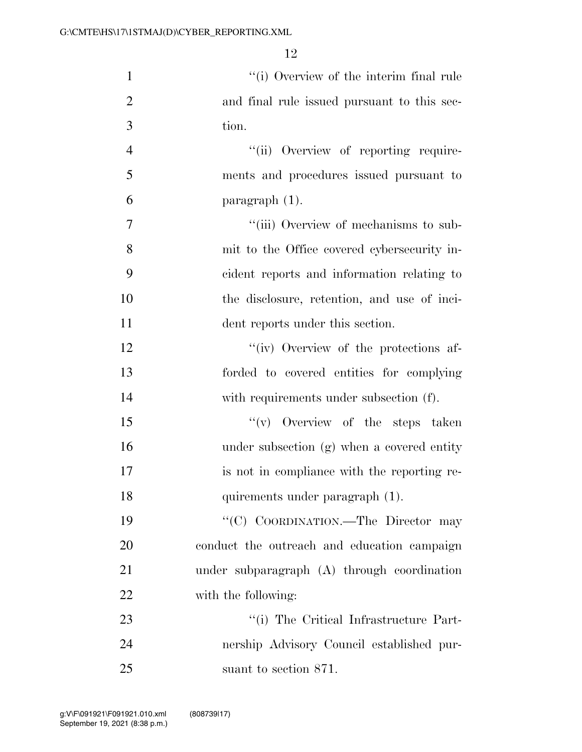| $\mathbf{1}$   | "(i) Overview of the interim final rule     |
|----------------|---------------------------------------------|
| $\overline{2}$ | and final rule issued pursuant to this sec- |
| 3              | tion.                                       |
| $\overline{4}$ | "(ii) Overview of reporting require-        |
| 5              | ments and procedures issued pursuant to     |
| 6              | paragraph (1).                              |
| 7              | "(iii) Overview of mechanisms to sub-       |
| 8              | mit to the Office covered cybersecurity in- |
| 9              | cident reports and information relating to  |
| 10             | the disclosure, retention, and use of inci- |
| 11             | dent reports under this section.            |
| 12             | "(iv) Overview of the protections af-       |
| 13             | forded to covered entities for complying    |
| 14             | with requirements under subsection (f).     |
| 15             | $f'(v)$ Overview of the steps taken         |
| 16             | under subsection (g) when a covered entity  |
| 17             | is not in compliance with the reporting re- |
| 18             | quirements under paragraph (1).             |
| 19             | "(C) COORDINATION.—The Director may         |
| 20             | conduct the outreach and education campaign |
| 21             | under subparagraph (A) through coordination |
| 22             | with the following:                         |
| 23             | "(i) The Critical Infrastructure Part-      |
| 24             | nership Advisory Council established pur-   |
| 25             | suant to section 871.                       |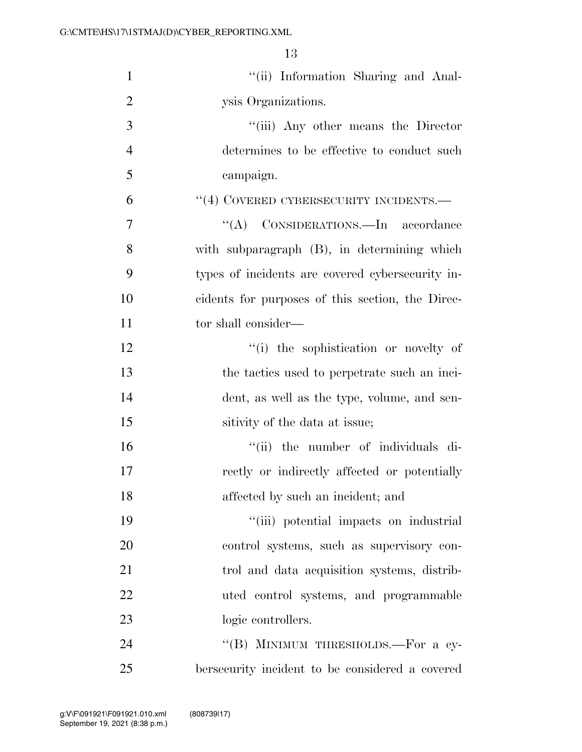| $\mathbf{1}$   | "(ii) Information Sharing and Anal-              |
|----------------|--------------------------------------------------|
| $\overline{2}$ | ysis Organizations.                              |
| 3              | "(iii) Any other means the Director              |
| $\overline{4}$ | determines to be effective to conduct such       |
| 5              | campaign.                                        |
| 6              | $``(4)$ COVERED CYBERSECURITY INCIDENTS.—        |
| 7              | "(A) CONSIDERATIONS.—In accordance               |
| 8              | with subparagraph (B), in determining which      |
| 9              | types of incidents are covered cybersecurity in- |
| 10             | cidents for purposes of this section, the Direc- |
| 11             | tor shall consider—                              |
| 12             | "(i) the sophistication or novelty of            |
| 13             | the tactics used to perpetrate such an inci-     |
| 14             | dent, as well as the type, volume, and sen-      |
| 15             | sitivity of the data at issue;                   |
| 16             | "(ii) the number of individuals di-              |
| 17             | rectly or indirectly affected or potentially     |
| 18             | affected by such an incident; and                |
| 19             | "(iii) potential impacts on industrial           |
| 20             | control systems, such as supervisory con-        |
| 21             | trol and data acquisition systems, distrib-      |
| 22             | uted control systems, and programmable           |
| 23             | logic controllers.                               |
| 24             | "(B) MINIMUM THRESHOLDS.—For a cy-               |
| 25             | bersecurity incident to be considered a covered  |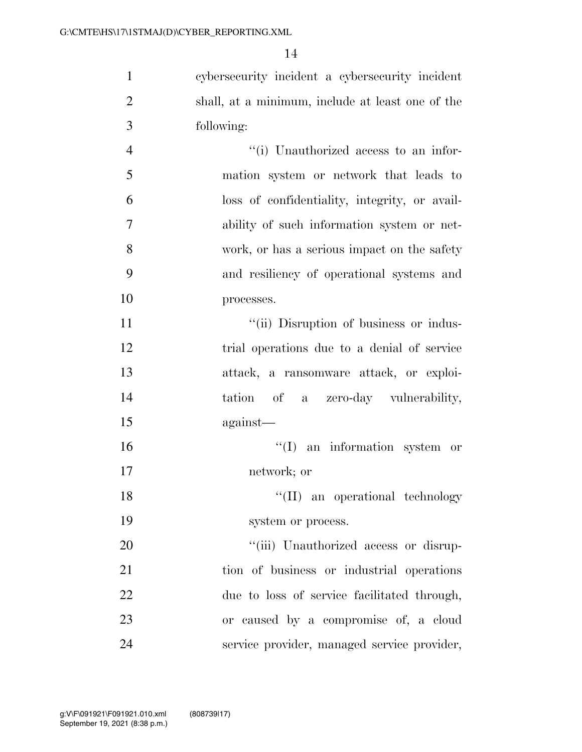cybersecurity incident a cybersecurity incident shall, at a minimum, include at least one of the following:  $''(i)$  Unauthorized access to an infor-

 mation system or network that leads to loss of confidentiality, integrity, or avail- ability of such information system or net- work, or has a serious impact on the safety and resiliency of operational systems and processes.

 $"$ (ii) Disruption of business or indus- trial operations due to a denial of service attack, a ransomware attack, or exploi- tation of a zero-day vulnerability, against—

16  $\text{``(I)}$  an information system or network; or

18 ''(II) an operational technology 19 system or process.

 $\frac{1}{20}$   $\frac{1}{20}$   $\frac{1}{20}$  Unauthorized access or disrup- tion of business or industrial operations due to loss of service facilitated through, or caused by a compromise of, a cloud service provider, managed service provider,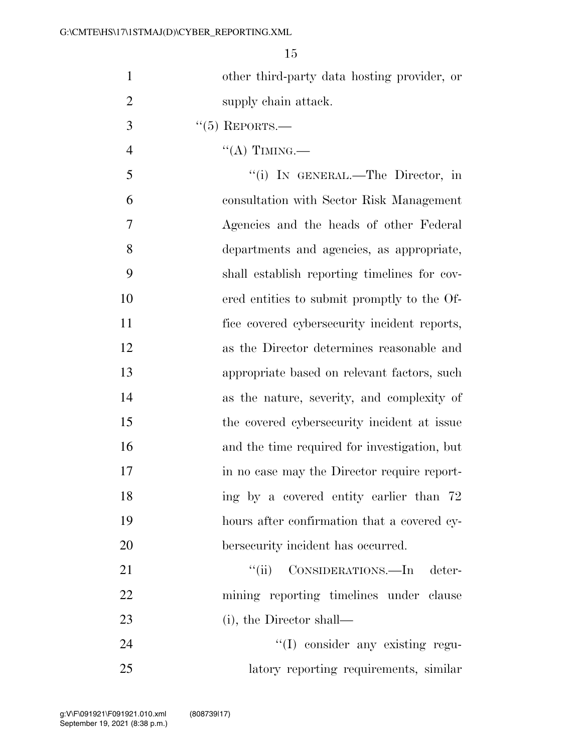|                | ŦΘ                                           |
|----------------|----------------------------------------------|
| 1              | other third-party data hosting provider, or  |
| $\overline{2}$ | supply chain attack.                         |
| 3              | $``(5)$ REPORTS.—                            |
| $\overline{4}$ | $\lq (A)$ TIMING.—                           |
| 5              | "(i) IN GENERAL.—The Director, in            |
| 6              | consultation with Sector Risk Management     |
| 7              | Agencies and the heads of other Federal      |
| 8              | departments and agencies, as appropriate,    |
| 9              | shall establish reporting timelines for cov- |
| 10             | ered entities to submit promptly to the Of-  |
| 11             | fice covered cybersecurity incident reports, |
| 12             | as the Director determines reasonable and    |
| 13             | appropriate based on relevant factors, such  |

- as the nature, severity, and complexity of the covered cybersecurity incident at issue and the time required for investigation, but in no case may the Director require report-18 ing by a covered entity earlier than 72 hours after confirmation that a covered cy-
- 21 ""(ii) CONSIDERATIONS.—In deter- mining reporting timelines under clause 23 (i), the Director shall—

20 bersecurity incident has occurred.

24 ''(I) consider any existing regu-latory reporting requirements, similar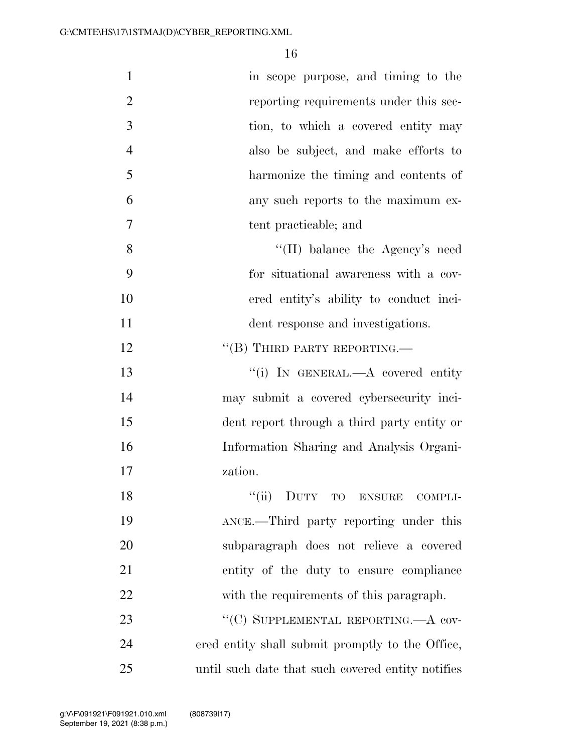| $\mathbf{1}$   | in scope purpose, and timing to the               |
|----------------|---------------------------------------------------|
| $\overline{2}$ | reporting requirements under this sec-            |
| 3              | tion, to which a covered entity may               |
| $\overline{4}$ | also be subject, and make efforts to              |
| 5              | harmonize the timing and contents of              |
| 6              | any such reports to the maximum ex-               |
| $\overline{7}$ | tent practicable; and                             |
| 8              | "(II) balance the Agency's need                   |
| 9              | for situational awareness with a cov-             |
| 10             | ered entity's ability to conduct inci-            |
| 11             | dent response and investigations.                 |
| 12             | "(B) THIRD PARTY REPORTING.—                      |
| 13             | "(i) IN GENERAL.—A covered entity                 |
| 14             | may submit a covered cybersecurity inci-          |
| 15             | dent report through a third party entity or       |
| 16             | Information Sharing and Analysis Organi-          |
| 17             | zation.                                           |
| 18             | "(ii) DUTY TO ENSURE<br>COMPLI-                   |
| 19             | ANCE.—Third party reporting under this            |
| 20             | subparagraph does not relieve a covered           |
| 21             | entity of the duty to ensure compliance           |
| 22             | with the requirements of this paragraph.          |
| 23             | "(C) SUPPLEMENTAL REPORTING.—A cov-               |
| 24             | ered entity shall submit promptly to the Office,  |
| 25             | until such date that such covered entity notifies |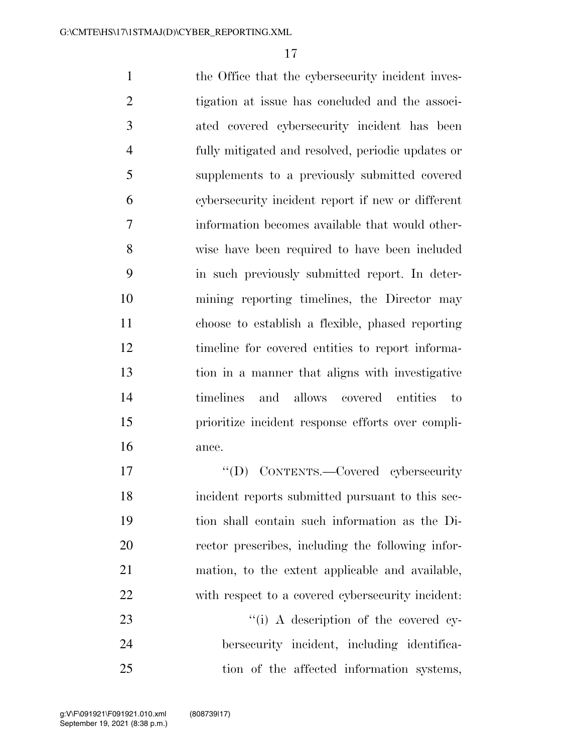1 the Office that the cybersecurity incident inves- tigation at issue has concluded and the associ- ated covered cybersecurity incident has been fully mitigated and resolved, periodic updates or supplements to a previously submitted covered cybersecurity incident report if new or different information becomes available that would other- wise have been required to have been included in such previously submitted report. In deter- mining reporting timelines, the Director may choose to establish a flexible, phased reporting timeline for covered entities to report informa- tion in a manner that aligns with investigative timelines and allows covered entities to prioritize incident response efforts over compli-ance.

 $\text{``(D)}$  CONTENTS.—Covered cybersecurity incident reports submitted pursuant to this sec- tion shall contain such information as the Di- rector prescribes, including the following infor- mation, to the extent applicable and available, with respect to a covered cybersecurity incident:

23  $\frac{1}{1}$  A description of the covered cy- bersecurity incident, including identifica-tion of the affected information systems,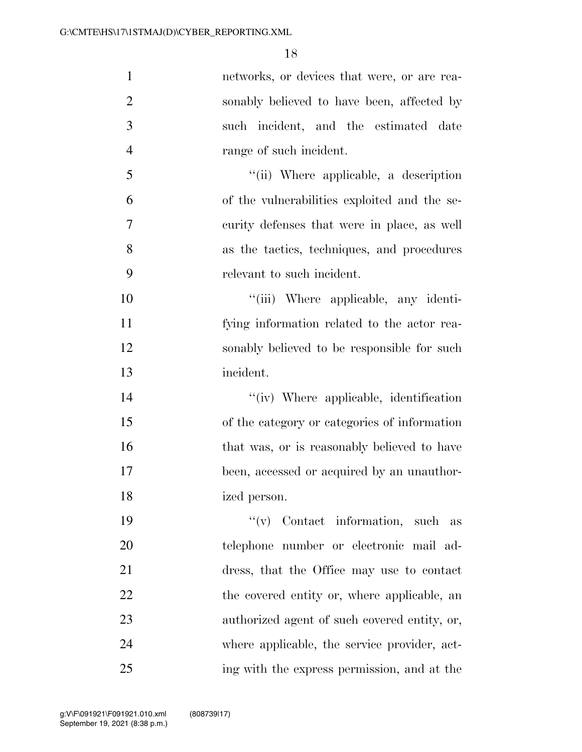| $\mathbf{1}$   | networks, or devices that were, or are rea-  |
|----------------|----------------------------------------------|
| $\overline{2}$ | sonably believed to have been, affected by   |
| 3              | such incident, and the estimated date        |
| $\overline{4}$ | range of such incident.                      |
| 5              | "(ii) Where applicable, a description        |
| 6              | of the vulnerabilities exploited and the se- |
| 7              | curity defenses that were in place, as well  |
| 8              | as the tactics, techniques, and procedures   |
| 9              | relevant to such incident.                   |
| 10             | "(iii) Where applicable, any identi-         |
| 11             | fying information related to the actor rea-  |
| 12             | sonably believed to be responsible for such  |
| 13             | incident.                                    |
| 14             | "(iv) Where applicable, identification       |
| 15             | of the category or categories of information |
| 16             | that was, or is reasonably believed to have  |
| 17             | been, accessed or acquired by an unauthor-   |
| 18             | ized person.                                 |
| 19             | $f'(v)$ Contact information, such as         |
| 20             | telephone number or electronic mail ad-      |
| 21             | dress, that the Office may use to contact    |
| 22             | the covered entity or, where applicable, an  |
| 23             | authorized agent of such covered entity, or, |
| 24             | where applicable, the service provider, act- |
| 25             | ing with the express permission, and at the  |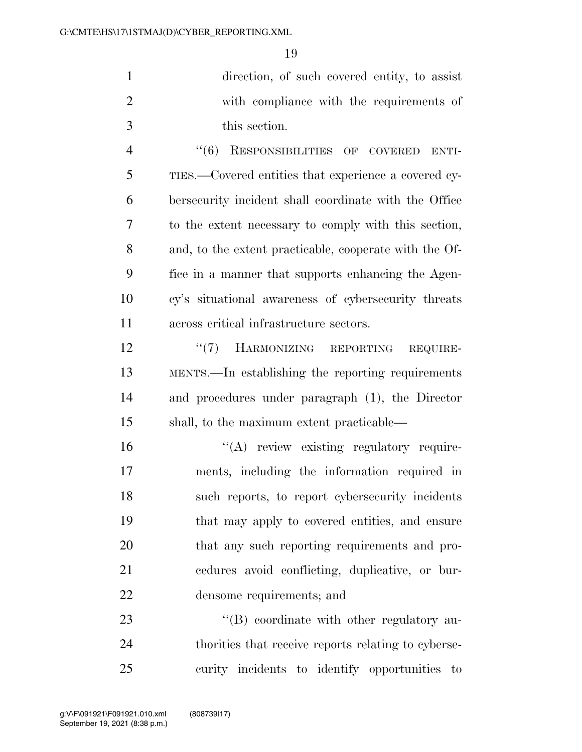| direction, of such covered entity, to assist |
|----------------------------------------------|
| with compliance with the requirements of     |
| this section.                                |

 ''(6) RESPONSIBILITIES OF COVERED ENTI- TIES.—Covered entities that experience a covered cy- bersecurity incident shall coordinate with the Office to the extent necessary to comply with this section, and, to the extent practicable, cooperate with the Of- fice in a manner that supports enhancing the Agen- cy's situational awareness of cybersecurity threats across critical infrastructure sectors.

12 "(7) HARMONIZING REPORTING REQUIRE- MENTS.—In establishing the reporting requirements and procedures under paragraph (1), the Director shall, to the maximum extent practicable—

 $\langle A \rangle$  review existing regulatory require- ments, including the information required in such reports, to report cybersecurity incidents that may apply to covered entities, and ensure 20 that any such reporting requirements and pro- cedures avoid conflicting, duplicative, or bur-densome requirements; and

23 "'(B) coordinate with other regulatory au- thorities that receive reports relating to cyberse-curity incidents to identify opportunities to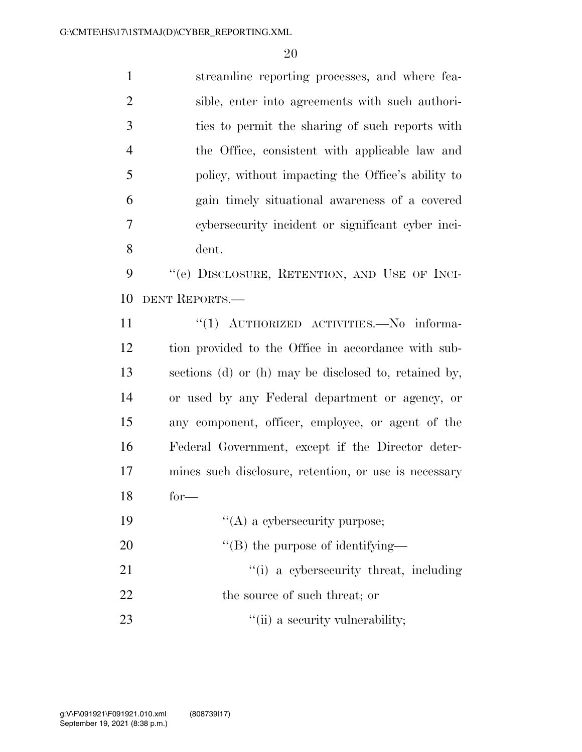streamline reporting processes, and where fea- sible, enter into agreements with such authori- ties to permit the sharing of such reports with the Office, consistent with applicable law and policy, without impacting the Office's ability to gain timely situational awareness of a covered cybersecurity incident or significant cyber inci- dent. 9 "(e) DISCLOSURE, RETENTION, AND USE OF INCI-

DENT REPORTS.—

11 "(1) AUTHORIZED ACTIVITIES. No informa- tion provided to the Office in accordance with sub- sections (d) or (h) may be disclosed to, retained by, or used by any Federal department or agency, or any component, officer, employee, or agent of the Federal Government, except if the Director deter- mines such disclosure, retention, or use is necessary for—

- 19  $((A)$  a cybersecurity purpose;
- 20  $''(B)$  the purpose of identifying—
- 21 ''(i) a cybersecurity threat, including
- 22 the source of such threat; or
- 23  $\frac{1}{1}$  a security vulnerability;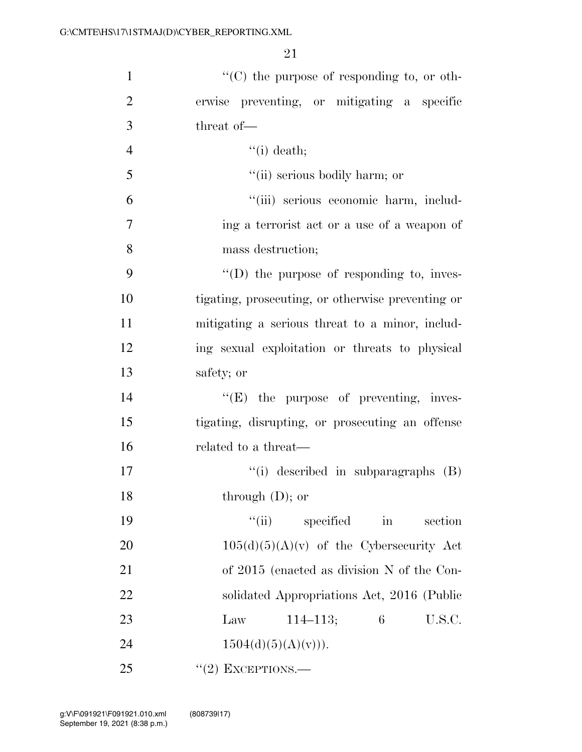| $\mathbf{1}$   | $\lq\lq$ (C) the purpose of responding to, or oth-    |
|----------------|-------------------------------------------------------|
| $\overline{2}$ | erwise preventing, or mitigating a specific           |
| 3              | threat of-                                            |
| $\overline{4}$ | $``(i)$ death;                                        |
| 5              | "(ii) serious bodily harm; or                         |
| 6              | "(iii) serious economic harm, includ-                 |
| 7              | ing a terrorist act or a use of a weapon of           |
| 8              | mass destruction;                                     |
| 9              | $\lq\lq$ the purpose of responding to, inves-         |
| 10             | tigating, prosecuting, or otherwise preventing or     |
| 11             | mitigating a serious threat to a minor, includ-       |
| 12             | ing sexual exploitation or threats to physical        |
| 13             | safety; or                                            |
| 14             | $\lq\lq(E)$ the purpose of preventing, inves-         |
| 15             | tigating, disrupting, or prosecuting an offense       |
| 16             | related to a threat—                                  |
| 17             | $\lq\lq$ described in subparagraphs $(B)$             |
| 18             | through $(D)$ ; or                                    |
| 19             | ``(ii)<br>specified<br>$\operatorname{in}$<br>section |
| 20             | $105(d)(5)(A)(v)$ of the Cybersecurity Act            |
| 21             | of 2015 (enacted as division N of the Con-            |
| 22             | solidated Appropriations Act, 2016 (Public            |
| 23             | 6<br>$114 - 113;$<br>U.S.C.<br>Law                    |
| 24             | $1504(d)(5)(A)(v))$ .                                 |
| 25             | $``(2)$ EXCEPTIONS.—                                  |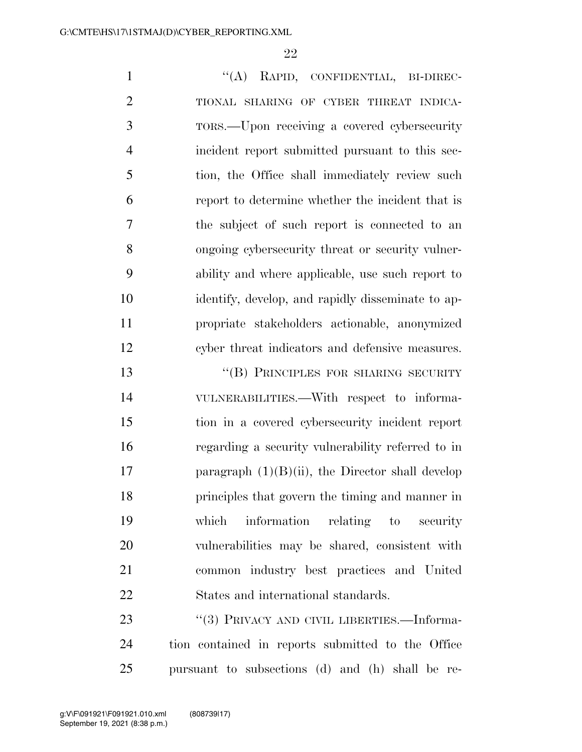1 "(A) RAPID, CONFIDENTIAL, BI-DIREC- TIONAL SHARING OF CYBER THREAT INDICA- TORS.—Upon receiving a covered cybersecurity incident report submitted pursuant to this sec- tion, the Office shall immediately review such report to determine whether the incident that is the subject of such report is connected to an ongoing cybersecurity threat or security vulner- ability and where applicable, use such report to identify, develop, and rapidly disseminate to ap- propriate stakeholders actionable, anonymized cyber threat indicators and defensive measures.

13 "(B) PRINCIPLES FOR SHARING SECURITY VULNERABILITIES.—With respect to informa- tion in a covered cybersecurity incident report regarding a security vulnerability referred to in 17 paragraph  $(1)(B)(ii)$ , the Director shall develop principles that govern the timing and manner in which information relating to security vulnerabilities may be shared, consistent with common industry best practices and United States and international standards.

23 "(3) PRIVACY AND CIVIL LIBERTIES.—Informa- tion contained in reports submitted to the Office pursuant to subsections (d) and (h) shall be re-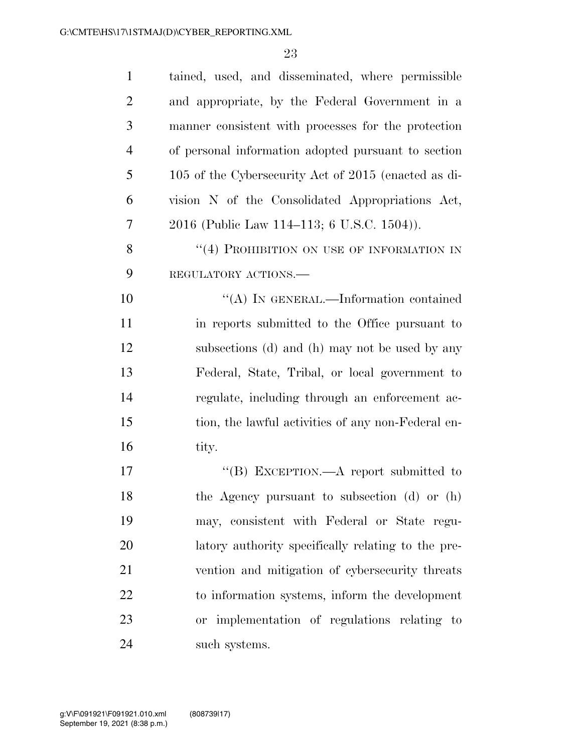| $\mathbf{1}$   | tained, used, and disseminated, where permissible    |
|----------------|------------------------------------------------------|
| $\overline{2}$ | and appropriate, by the Federal Government in a      |
| 3              | manner consistent with processes for the protection  |
| $\overline{4}$ | of personal information adopted pursuant to section  |
| 5              | 105 of the Cybersecurity Act of 2015 (enacted as di- |
| 6              | vision N of the Consolidated Appropriations Act,     |
| 7              | 2016 (Public Law 114–113; 6 U.S.C. 1504)).           |
| 8              | "(4) PROHIBITION ON USE OF INFORMATION IN            |
| 9              | REGULATORY ACTIONS.                                  |
| 10             | "(A) IN GENERAL.—Information contained               |
| 11             | in reports submitted to the Office pursuant to       |
| 12             | subsections (d) and (h) may not be used by any       |
| 13             | Federal, State, Tribal, or local government to       |
| 14             | regulate, including through an enforcement ac-       |
| 15             | tion, the lawful activities of any non-Federal en-   |
| 16             | tity.                                                |
| 17             | "(B) EXCEPTION.—A report submitted to                |
| 18             | the Agency pursuant to subsection (d) or (h)         |
| 19             | may, consistent with Federal or State regu-          |
| 20             | latory authority specifically relating to the pre-   |
| 21             | vention and mitigation of cybersecurity threats      |
| 22             | to information systems, inform the development       |
| 23             | or implementation of regulations relating to         |
| 24             | such systems.                                        |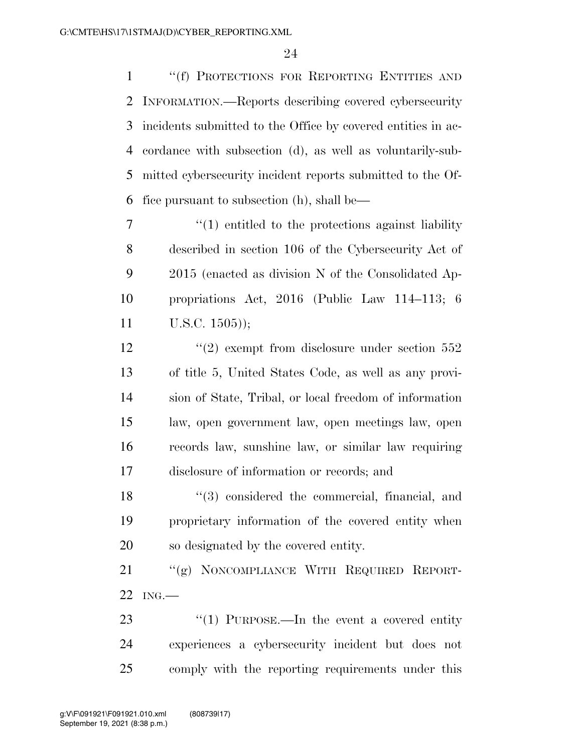''(f) PROTECTIONS FOR REPORTING ENTITIES AND INFORMATION.—Reports describing covered cybersecurity incidents submitted to the Office by covered entities in ac- cordance with subsection (d), as well as voluntarily-sub- mitted cybersecurity incident reports submitted to the Of-fice pursuant to subsection (h), shall be—

 $\frac{1}{1}$  entitled to the protections against liability described in section 106 of the Cybersecurity Act of 2015 (enacted as division N of the Consolidated Ap- propriations Act, 2016 (Public Law 114–113; 6 U.S.C. 1505));

12 ''(2) exempt from disclosure under section 552 of title 5, United States Code, as well as any provi- sion of State, Tribal, or local freedom of information law, open government law, open meetings law, open records law, sunshine law, or similar law requiring disclosure of information or records; and

18 ''(3) considered the commercial, financial, and proprietary information of the covered entity when so designated by the covered entity.

 ''(g) NONCOMPLIANCE WITH REQUIRED REPORT-ING.—

23 "(1) PURPOSE.—In the event a covered entity experiences a cybersecurity incident but does not comply with the reporting requirements under this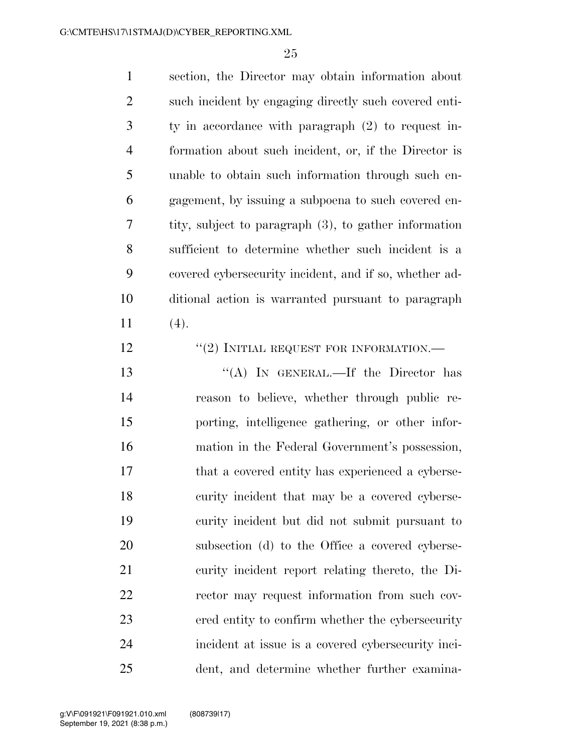section, the Director may obtain information about such incident by engaging directly such covered enti- ty in accordance with paragraph (2) to request in- formation about such incident, or, if the Director is unable to obtain such information through such en- gagement, by issuing a subpoena to such covered en- tity, subject to paragraph (3), to gather information sufficient to determine whether such incident is a covered cybersecurity incident, and if so, whether ad- ditional action is warranted pursuant to paragraph 11  $(4)$ .

**''(2) INITIAL REQUEST FOR INFORMATION.—** 

13 "(A) IN GENERAL.—If the Director has reason to believe, whether through public re- porting, intelligence gathering, or other infor- mation in the Federal Government's possession, that a covered entity has experienced a cyberse- curity incident that may be a covered cyberse- curity incident but did not submit pursuant to subsection (d) to the Office a covered cyberse- curity incident report relating thereto, the Di- rector may request information from such cov- ered entity to confirm whether the cybersecurity incident at issue is a covered cybersecurity inci-dent, and determine whether further examina-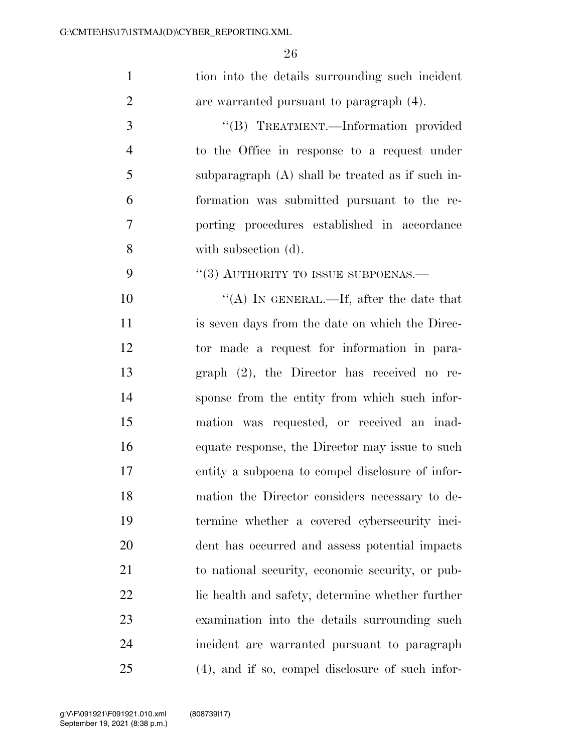| $\mathbf{1}$   | tion into the details surrounding such incident     |
|----------------|-----------------------------------------------------|
| $\overline{2}$ | are warranted pursuant to paragraph (4).            |
| 3              | "(B) TREATMENT.—Information provided                |
| $\overline{4}$ | to the Office in response to a request under        |
| 5              | subparagraph $(A)$ shall be treated as if such in-  |
| 6              | formation was submitted pursuant to the re-         |
| 7              | porting procedures established in accordance        |
| 8              | with subsection (d).                                |
| 9              | "(3) AUTHORITY TO ISSUE SUBPOENAS.-                 |
| 10             | "(A) IN GENERAL.—If, after the date that            |
| 11             | is seven days from the date on which the Direc-     |
| 12             | tor made a request for information in para-         |
| 13             | graph $(2)$ , the Director has received no re-      |
| 14             | sponse from the entity from which such infor-       |
| 15             | mation was requested, or received an inad-          |
| 16             | equate response, the Director may issue to such     |
| 17             | entity a subpoena to compel disclosure of infor-    |
| 18             | mation the Director considers necessary to de-      |
| 19             | termine whether a covered cybersecurity inci-       |
| 20             | dent has occurred and assess potential impacts      |
| 21             | to national security, economic security, or pub-    |
| 22             | lic health and safety, determine whether further    |
| 23             | examination into the details surrounding such       |
| 24             | incident are warranted pursuant to paragraph        |
| 25             | $(4)$ , and if so, compel disclosure of such infor- |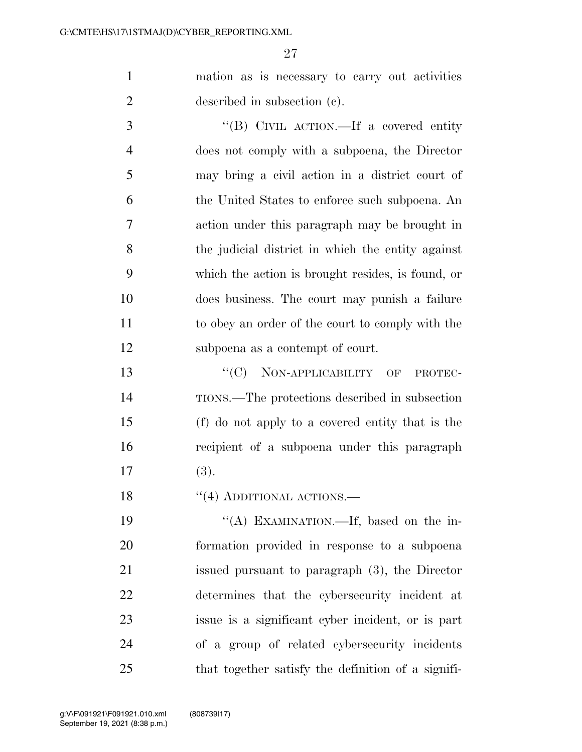mation as is necessary to carry out activities described in subsection (c).

 ''(B) CIVIL ACTION.—If a covered entity does not comply with a subpoena, the Director may bring a civil action in a district court of the United States to enforce such subpoena. An action under this paragraph may be brought in the judicial district in which the entity against which the action is brought resides, is found, or does business. The court may punish a failure to obey an order of the court to comply with the subpoena as a contempt of court.

13 "'(C) NON-APPLICABILITY OF PROTEC- TIONS.—The protections described in subsection (f) do not apply to a covered entity that is the recipient of a subpoena under this paragraph (3).

18 "(4) ADDITIONAL ACTIONS.

19 "(A) EXAMINATION.—If, based on the in- formation provided in response to a subpoena issued pursuant to paragraph (3), the Director determines that the cybersecurity incident at issue is a significant cyber incident, or is part of a group of related cybersecurity incidents that together satisfy the definition of a signifi-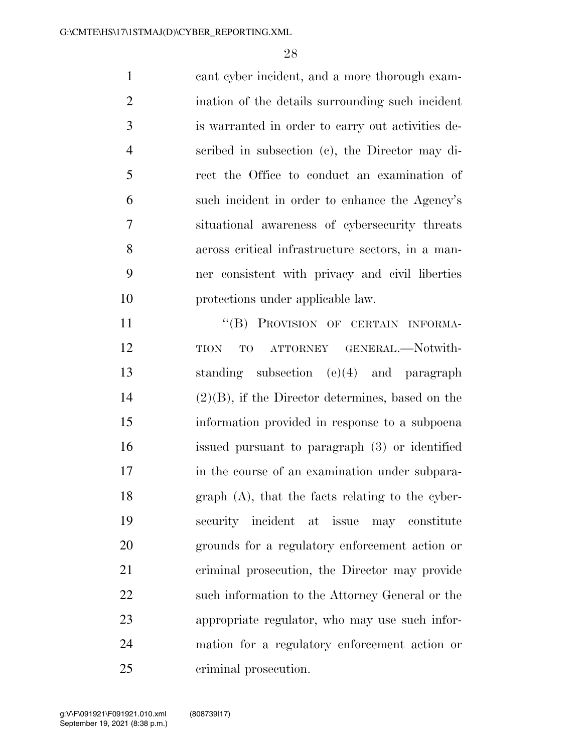cant cyber incident, and a more thorough exam- ination of the details surrounding such incident is warranted in order to carry out activities de- scribed in subsection (c), the Director may di- rect the Office to conduct an examination of such incident in order to enhance the Agency's situational awareness of cybersecurity threats across critical infrastructure sectors, in a man- ner consistent with privacy and civil liberties protections under applicable law. 11 "
(B) PROVISION OF CERTAIN INFORMA-

12 TION TO ATTORNEY GENERAL.—Notwith- standing subsection (e)(4) and paragraph (2)(B), if the Director determines, based on the information provided in response to a subpoena issued pursuant to paragraph (3) or identified 17 in the course of an examination under subpara- graph (A), that the facts relating to the cyber- security incident at issue may constitute grounds for a regulatory enforcement action or criminal prosecution, the Director may provide such information to the Attorney General or the appropriate regulator, who may use such infor- mation for a regulatory enforcement action or criminal prosecution.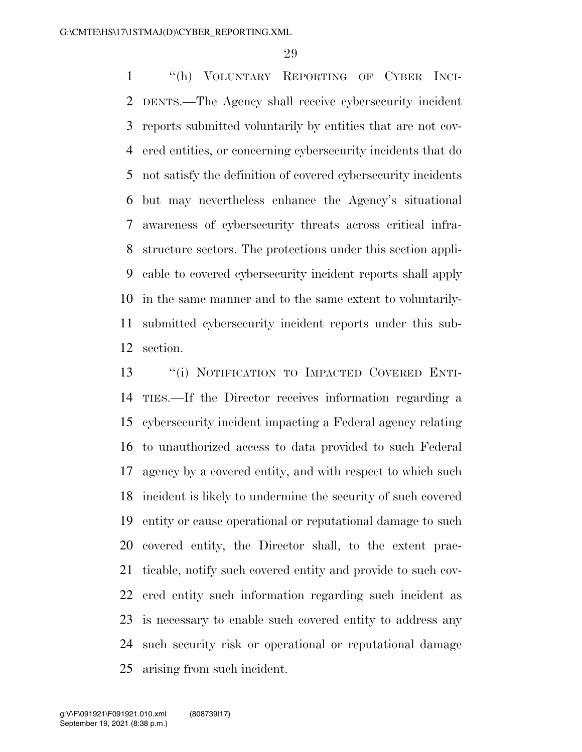''(h) VOLUNTARY REPORTING OF CYBER INCI- DENTS.—The Agency shall receive cybersecurity incident reports submitted voluntarily by entities that are not cov- ered entities, or concerning cybersecurity incidents that do not satisfy the definition of covered cybersecurity incidents but may nevertheless enhance the Agency's situational awareness of cybersecurity threats across critical infra- structure sectors. The protections under this section appli- cable to covered cybersecurity incident reports shall apply in the same manner and to the same extent to voluntarily- submitted cybersecurity incident reports under this sub-section.

 ''(i) NOTIFICATION TO IMPACTED COVERED ENTI- TIES.—If the Director receives information regarding a cybersecurity incident impacting a Federal agency relating to unauthorized access to data provided to such Federal agency by a covered entity, and with respect to which such incident is likely to undermine the security of such covered entity or cause operational or reputational damage to such covered entity, the Director shall, to the extent prac- ticable, notify such covered entity and provide to such cov- ered entity such information regarding such incident as is necessary to enable such covered entity to address any such security risk or operational or reputational damage arising from such incident.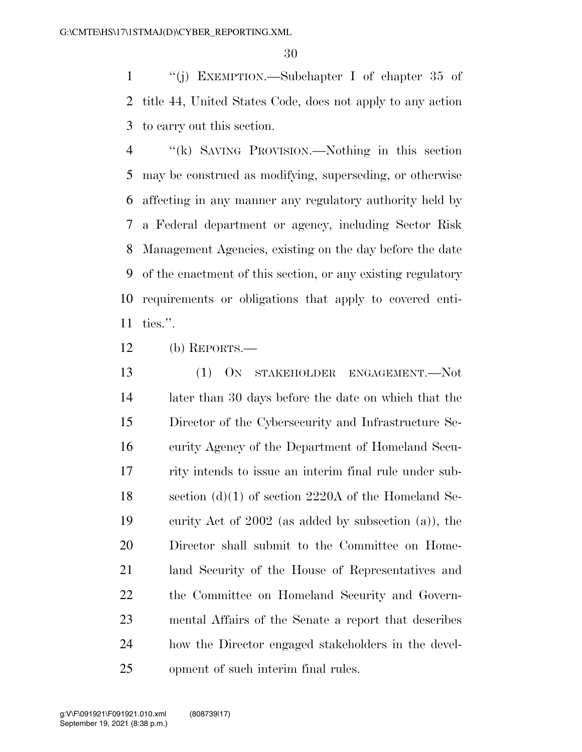''(j) EXEMPTION.—Subchapter I of chapter 35 of title 44, United States Code, does not apply to any action to carry out this section.

 ''(k) SAVING PROVISION.—Nothing in this section may be construed as modifying, superseding, or otherwise affecting in any manner any regulatory authority held by a Federal department or agency, including Sector Risk Management Agencies, existing on the day before the date of the enactment of this section, or any existing regulatory requirements or obligations that apply to covered enti-ties.''.

(b) REPORTS.—

 (1) ON STAKEHOLDER ENGAGEMENT.—Not later than 30 days before the date on which that the Director of the Cybersecurity and Infrastructure Se- curity Agency of the Department of Homeland Secu- rity intends to issue an interim final rule under sub-18 section (d)(1) of section 2220A of the Homeland Se- curity Act of 2002 (as added by subsection (a)), the Director shall submit to the Committee on Home- land Security of the House of Representatives and the Committee on Homeland Security and Govern- mental Affairs of the Senate a report that describes how the Director engaged stakeholders in the devel-opment of such interim final rules.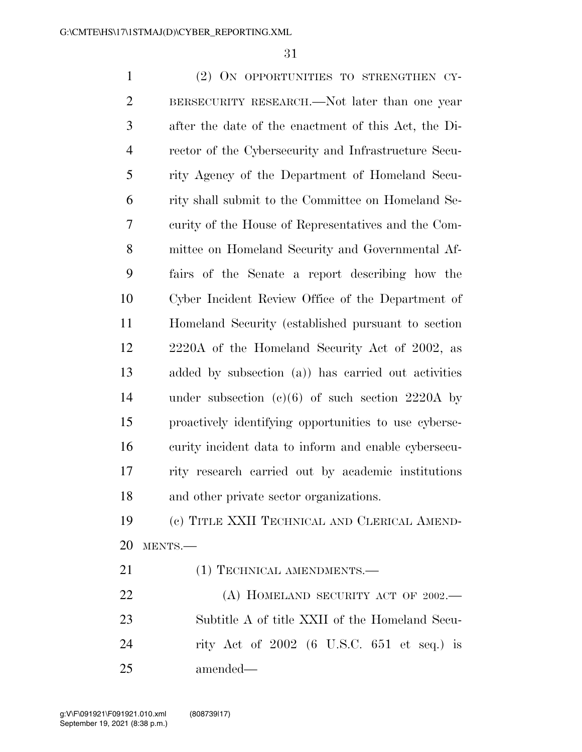(2) ON OPPORTUNITIES TO STRENGTHEN CY- BERSECURITY RESEARCH.—Not later than one year after the date of the enactment of this Act, the Di- rector of the Cybersecurity and Infrastructure Secu- rity Agency of the Department of Homeland Secu- rity shall submit to the Committee on Homeland Se- curity of the House of Representatives and the Com- mittee on Homeland Security and Governmental Af- fairs of the Senate a report describing how the Cyber Incident Review Office of the Department of Homeland Security (established pursuant to section 2220A of the Homeland Security Act of 2002, as added by subsection (a)) has carried out activities under subsection (c)(6) of such section 2220A by proactively identifying opportunities to use cyberse- curity incident data to inform and enable cybersecu- rity research carried out by academic institutions and other private sector organizations. (c) TITLE XXII TECHNICAL AND CLERICAL AMEND- MENTS.— 21 (1) TECHNICAL AMENDMENTS.— 22 (A) HOMELAND SECURITY ACT OF 2002.—

 Subtitle A of title XXII of the Homeland Secu- rity Act of 2002 (6 U.S.C. 651 et seq.) is amended—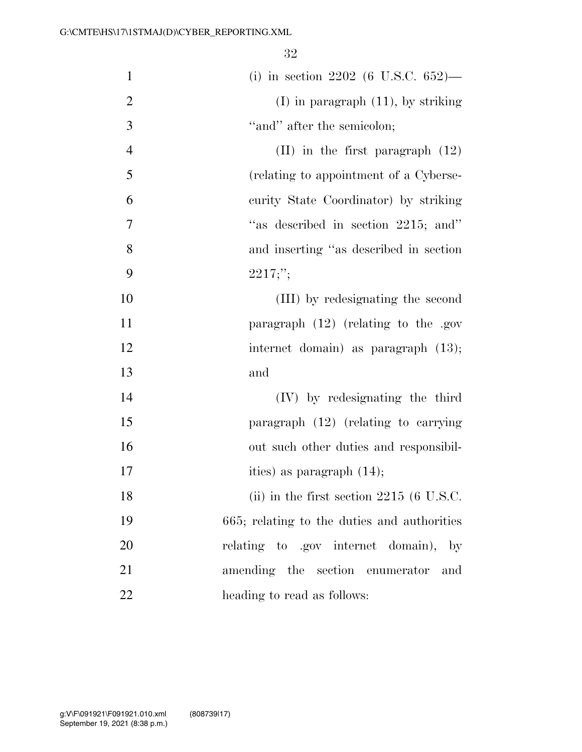| $\mathbf{1}$   | (i) in section 2202 (6 U.S.C. $652$ )—      |
|----------------|---------------------------------------------|
|                |                                             |
| $\overline{2}$ | $(I)$ in paragraph $(11)$ , by striking     |
| 3              | "and" after the semicolon;                  |
| $\overline{4}$ | $(II)$ in the first paragraph $(12)$        |
| 5              | (relating to appointment of a Cyberse-      |
| 6              | curity State Coordinator) by striking       |
| 7              | "as described in section 2215; and"         |
| 8              | and inserting "as described in section      |
| 9              | 2217;                                       |
| 10             | (III) by redesignating the second           |
| 11             | paragraph $(12)$ (relating to the .gov      |
| 12             | internet domain) as paragraph $(13)$ ;      |
| 13             | and                                         |
| 14             | (IV) by redesignating the third             |
| 15             | paragraph $(12)$ (relating to carrying      |
| 16             | out such other duties and responsibil-      |
| 17             | ities) as paragraph $(14)$ ;                |
| 18             | (ii) in the first section $2215$ (6 U.S.C.  |
| 19             | 665; relating to the duties and authorities |
| 20             | relating to .gov internet domain), by       |
| 21             | amending the section enumerator<br>and      |
| 22             | heading to read as follows:                 |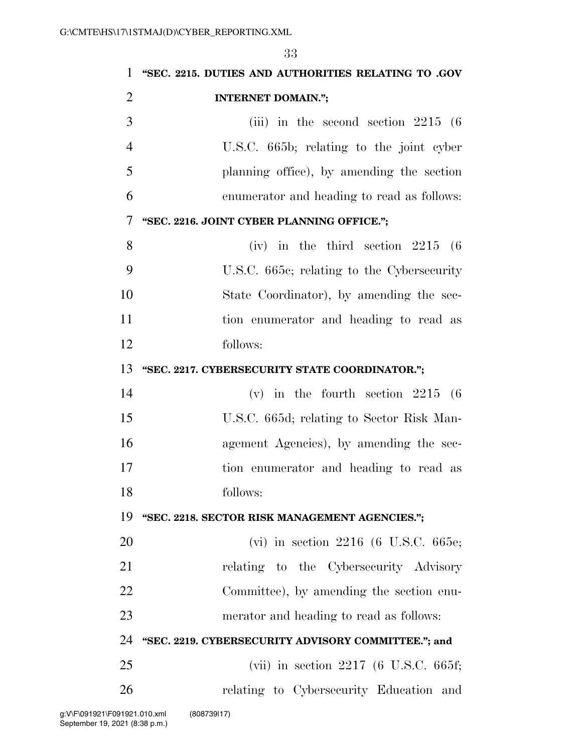**''SEC. 2215. DUTIES AND AUTHORITIES RELATING TO .GOV INTERNET DOMAIN.'';**  (iii) in the second section  $2215$  (6) U.S.C. 665b; relating to the joint cyber planning office), by amending the section enumerator and heading to read as follows: **''SEC. 2216. JOINT CYBER PLANNING OFFICE.'';**  (iv) in the third section 2215 (6 U.S.C. 665c; relating to the Cybersecurity State Coordinator), by amending the sec- tion enumerator and heading to read as follows: **''SEC. 2217. CYBERSECURITY STATE COORDINATOR.'';**  (v) in the fourth section 2215 (6 U.S.C. 665d; relating to Sector Risk Man- agement Agencies), by amending the sec- tion enumerator and heading to read as follows: **''SEC. 2218. SECTOR RISK MANAGEMENT AGENCIES.'';**  (vi) in section 2216 (6 U.S.C. 665e; relating to the Cybersecurity Advisory Committee), by amending the section enu- merator and heading to read as follows: **''SEC. 2219. CYBERSECURITY ADVISORY COMMITTEE.''; and**  (vii) in section 2217 (6 U.S.C. 665f; relating to Cybersecurity Education and